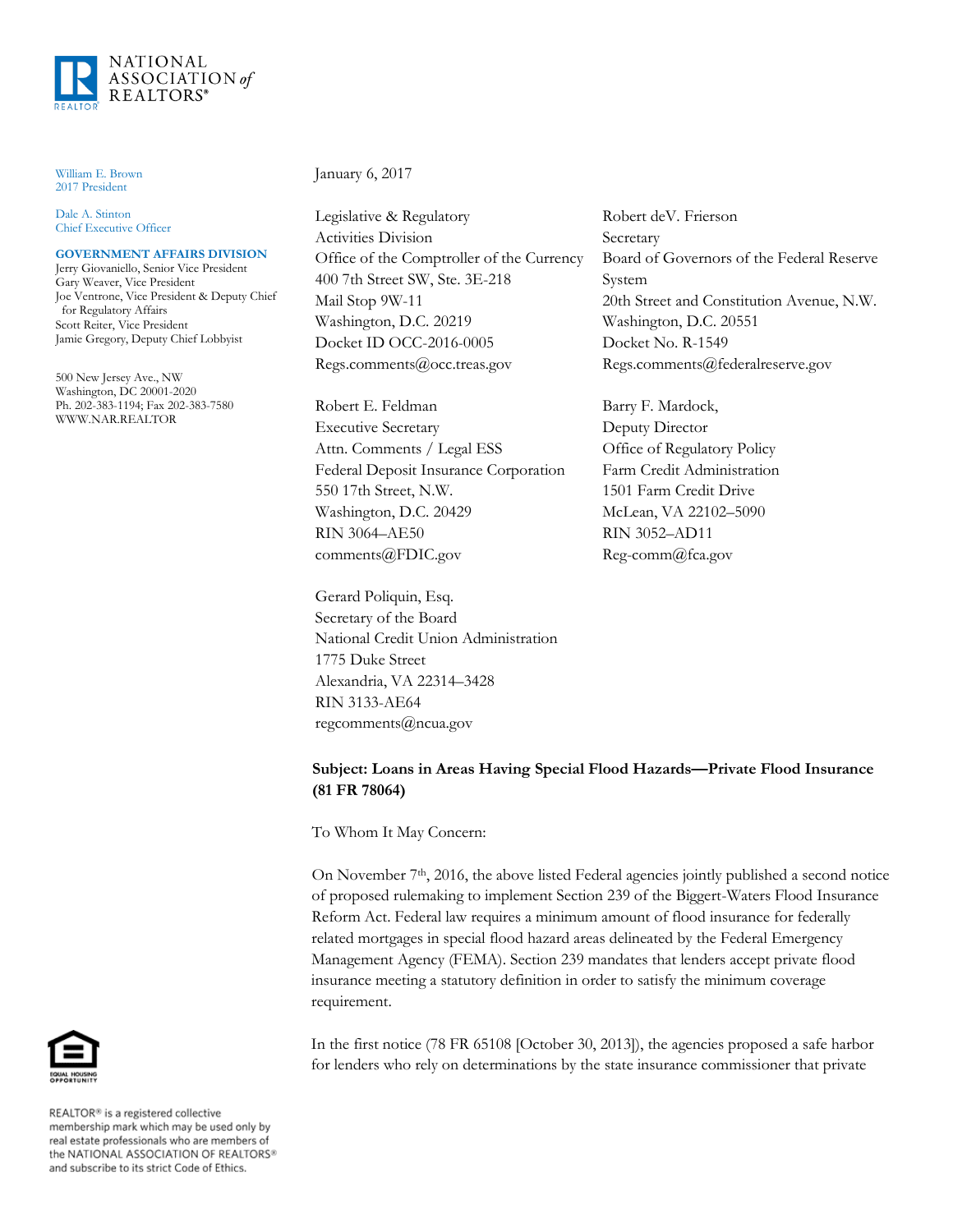

William E. Brown 2017 President

Dale A. Stinton Chief Executive Officer

### **GOVERNMENT AFFAIRS DIVISION**

Jerry Giovaniello, Senior Vice President Gary Weaver, Vice President Joe Ventrone, Vice President & Deputy Chief for Regulatory Affairs Scott Reiter, Vice President Jamie Gregory, Deputy Chief Lobbyist

500 New Jersey Ave., NW Washington, DC 20001-2020 Ph. 202-383-1194; Fax 202-383-7580 WWW.NAR.REALTOR

#### January 6, 2017

Legislative & Regulatory Activities Division Office of the Comptroller of the Currency 400 7th Street SW, Ste. 3E-218 Mail Stop 9W-11 Washington, D.C. 20219 Docket ID OCC-2016-0005 Regs.comments@occ.treas.gov

Robert E. Feldman Executive Secretary Attn. Comments / Legal ESS Federal Deposit Insurance Corporation 550 17th Street, N.W. Washington, D.C. 20429 RIN 3064–AE50 comments@FDIC.gov

Gerard Poliquin, Esq. Secretary of the Board National Credit Union Administration 1775 Duke Street Alexandria, VA 22314–3428 RIN 3133-AE64 regcomments@ncua.gov

Robert deV. Frierson Secretary Board of Governors of the Federal Reserve System 20th Street and Constitution Avenue, N.W. Washington, D.C. 20551 Docket No. R-1549 Regs.comments@federalreserve.gov

Barry F. Mardock, Deputy Director Office of Regulatory Policy Farm Credit Administration 1501 Farm Credit Drive McLean, VA 22102–5090 RIN 3052–AD11 Reg-comm@fca.gov

# **Subject: Loans in Areas Having Special Flood Hazards—Private Flood Insurance (81 FR 78064)**

To Whom It May Concern:

On November 7th, 2016, the above listed Federal agencies jointly published a second notice of proposed rulemaking to implement Section 239 of the Biggert-Waters Flood Insurance Reform Act. Federal law requires a minimum amount of flood insurance for federally related mortgages in special flood hazard areas delineated by the Federal Emergency Management Agency (FEMA). Section 239 mandates that lenders accept private flood insurance meeting a statutory definition in order to satisfy the minimum coverage requirement.

In the first notice (78 FR 65108 [October 30, 2013]), the agencies proposed a safe harbor for lenders who rely on determinations by the state insurance commissioner that private



REALTOR® is a registered collective membership mark which may be used only by real estate professionals who are members of<br>the NATIONAL ASSOCIATION OF REALTORS® and subscribe to its strict Code of Ethics.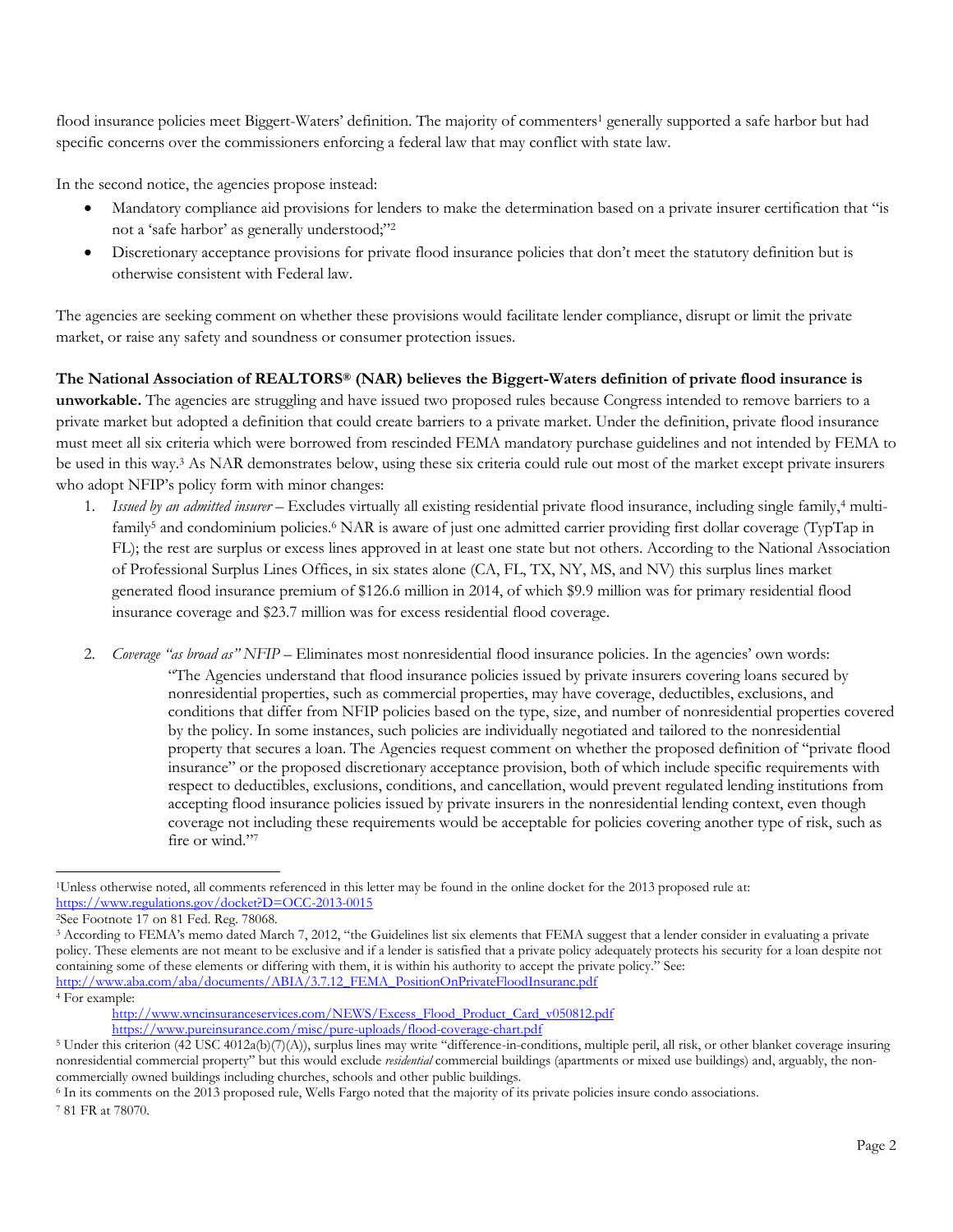flood insurance policies meet Biggert-Waters' definition. The majority of commenters<sup>1</sup> generally supported a safe harbor but had specific concerns over the commissioners enforcing a federal law that may conflict with state law.

In the second notice, the agencies propose instead:

- Mandatory compliance aid provisions for lenders to make the determination based on a private insurer certification that "is not a 'safe harbor' as generally understood;"<sup>2</sup>
- Discretionary acceptance provisions for private flood insurance policies that don't meet the statutory definition but is otherwise consistent with Federal law.

The agencies are seeking comment on whether these provisions would facilitate lender compliance, disrupt or limit the private market, or raise any safety and soundness or consumer protection issues.

# **The National Association of REALTORS® (NAR) believes the Biggert-Waters definition of private flood insurance is**

**unworkable.** The agencies are struggling and have issued two proposed rules because Congress intended to remove barriers to a private market but adopted a definition that could create barriers to a private market. Under the definition, private flood insurance must meet all six criteria which were borrowed from rescinded FEMA mandatory purchase guidelines and not intended by FEMA to be used in this way.<sup>3</sup> As NAR demonstrates below, using these six criteria could rule out most of the market except private insurers who adopt NFIP's policy form with minor changes:

- 1. *Issued by an admitted insurer* Excludes virtually all existing residential private flood insurance, including single family,<sup>4</sup> multifamily<sup>5</sup> and condominium policies.<sup>6</sup> NAR is aware of just one admitted carrier providing first dollar coverage (TypTap in FL); the rest are surplus or excess lines approved in at least one state but not others. According to the National Association of Professional Surplus Lines Offices, in six states alone (CA, FL, TX, NY, MS, and NV) this surplus lines market generated flood insurance premium of \$126.6 million in 2014, of which \$9.9 million was for primary residential flood insurance coverage and \$23.7 million was for excess residential flood coverage.
- 2. *Coverage "as broad as" NFIP –* Eliminates most nonresidential flood insurance policies. In the agencies' own words: "The Agencies understand that flood insurance policies issued by private insurers covering loans secured by nonresidential properties, such as commercial properties, may have coverage, deductibles, exclusions, and conditions that differ from NFIP policies based on the type, size, and number of nonresidential properties covered by the policy. In some instances, such policies are individually negotiated and tailored to the nonresidential property that secures a loan. The Agencies request comment on whether the proposed definition of ''private flood insurance" or the proposed discretionary acceptance provision, both of which include specific requirements with respect to deductibles, exclusions, conditions, and cancellation, would prevent regulated lending institutions from accepting flood insurance policies issued by private insurers in the nonresidential lending context, even though coverage not including these requirements would be acceptable for policies covering another type of risk, such as fire or wind."<sup>7</sup>

<sup>4</sup> For example:

 $\overline{a}$ <sup>1</sup>Unless otherwise noted, all comments referenced in this letter may be found in the online docket for the 2013 proposed rule at: <https://www.regulations.gov/docket?D=OCC-2013-0015>

<sup>2</sup>See Footnote 17 on 81 Fed. Reg. 78068.

<sup>3</sup> According to FEMA's memo dated March 7, 2012, "the Guidelines list six elements that FEMA suggest that a lender consider in evaluating a private policy. These elements are not meant to be exclusive and if a lender is satisfied that a private policy adequately protects his security for a loan despite not containing some of these elements or differing with them, it is within his authority to accept the private policy." See: [http://www.aba.com/aba/documents/ABIA/3.7.12\\_FEMA\\_PositionOnPrivateFloodInsuranc.pdf](http://www.aba.com/aba/documents/ABIA/3.7.12_FEMA_PositionOnPrivateFloodInsuranc.pdf)

[http://www.wncinsuranceservices.com/NEWS/Excess\\_Flood\\_Product\\_Card\\_v050812.pdf](http://www.wncinsuranceservices.com/NEWS/Excess_Flood_Product_Card_v050812.pdf) <https://www.pureinsurance.com/misc/pure-uploads/flood-coverage-chart.pdf>

<sup>&</sup>lt;sup>5</sup> Under this criterion (42 USC 4012a(b)(7)(A)), surplus lines may write "difference-in-conditions, multiple peril, all risk, or other blanket coverage insuring nonresidential commercial property" but this would exclude *residential* commercial buildings (apartments or mixed use buildings) and, arguably, the noncommercially owned buildings including churches, schools and other public buildings.

<sup>6</sup> In its comments on the 2013 proposed rule, Wells Fargo noted that the majority of its private policies insure condo associations. <sup>7</sup> 81 FR at 78070.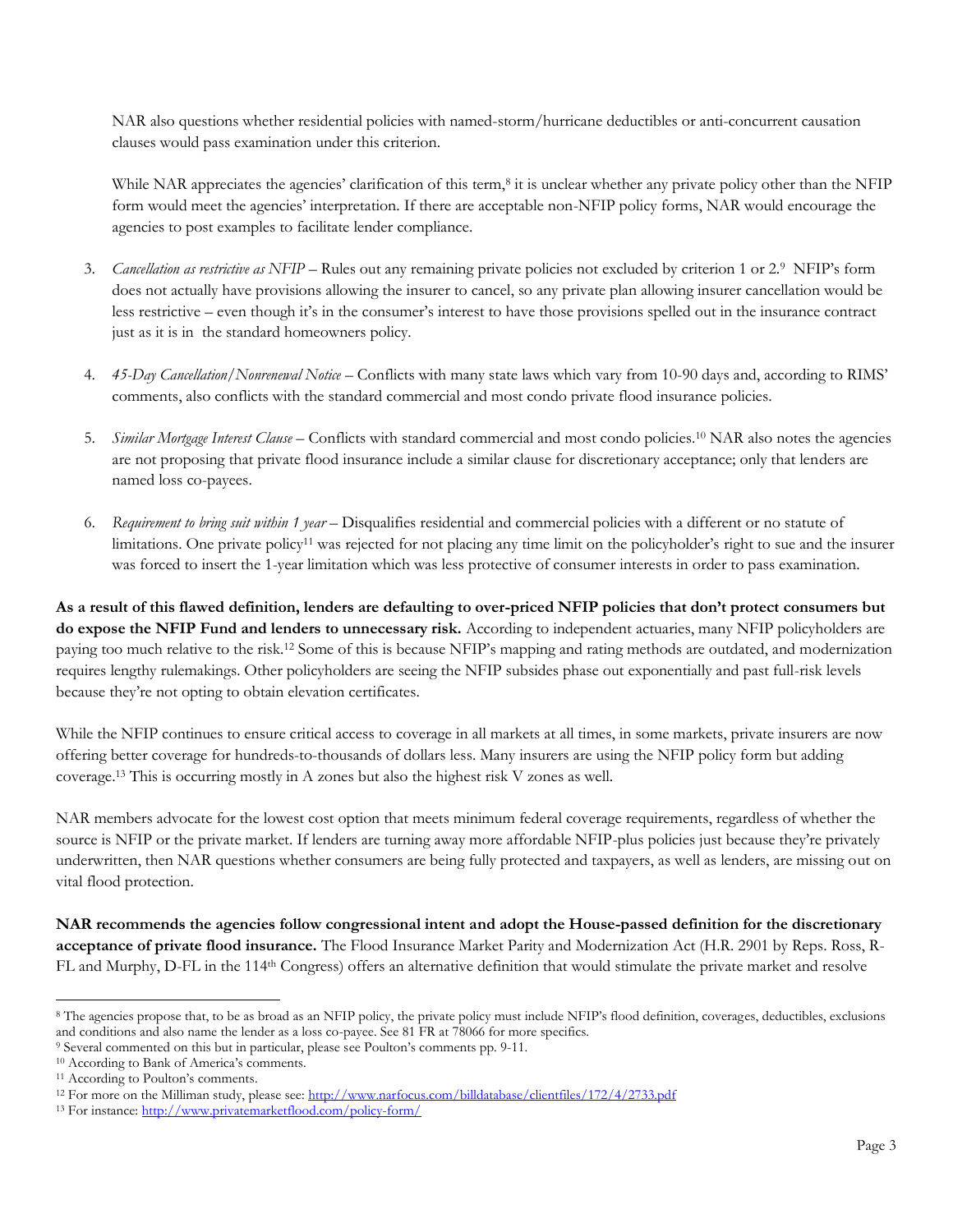NAR also questions whether residential policies with named-storm/hurricane deductibles or anti-concurrent causation clauses would pass examination under this criterion.

While NAR appreciates the agencies' clarification of this term,<sup>8</sup> it is unclear whether any private policy other than the NFIP form would meet the agencies' interpretation. If there are acceptable non-NFIP policy forms, NAR would encourage the agencies to post examples to facilitate lender compliance.

- 3. Cancellation as restrictive as NFIP Rules out any remaining private policies not excluded by criterion 1 or 2.9 NFIP's form does not actually have provisions allowing the insurer to cancel, so any private plan allowing insurer cancellation would be less restrictive – even though it's in the consumer's interest to have those provisions spelled out in the insurance contract just as it is in the standard homeowners policy.
- 4. *45-Day Cancellation/Nonrenewal Notice* Conflicts with many state laws which vary from 10-90 days and, according to RIMS' comments, also conflicts with the standard commercial and most condo private flood insurance policies.
- 5. *Similar Mortgage Interest Clause* Conflicts with standard commercial and most condo policies.<sup>10</sup> NAR also notes the agencies are not proposing that private flood insurance include a similar clause for discretionary acceptance; only that lenders are named loss co-payees.
- 6. *Requirement to bring suit within 1 year* Disqualifies residential and commercial policies with a different or no statute of limitations. One private policy<sup>11</sup> was rejected for not placing any time limit on the policyholder's right to sue and the insurer was forced to insert the 1-year limitation which was less protective of consumer interests in order to pass examination.

**As a result of this flawed definition, lenders are defaulting to over-priced NFIP policies that don't protect consumers but do expose the NFIP Fund and lenders to unnecessary risk.** According to independent actuaries, many NFIP policyholders are paying too much relative to the risk.<sup>12</sup> Some of this is because NFIP's mapping and rating methods are outdated, and modernization requires lengthy rulemakings. Other policyholders are seeing the NFIP subsides phase out exponentially and past full-risk levels because they're not opting to obtain elevation certificates.

While the NFIP continues to ensure critical access to coverage in all markets at all times, in some markets, private insurers are now offering better coverage for hundreds-to-thousands of dollars less. Many insurers are using the NFIP policy form but adding coverage.<sup>13</sup> This is occurring mostly in A zones but also the highest risk V zones as well.

NAR members advocate for the lowest cost option that meets minimum federal coverage requirements, regardless of whether the source is NFIP or the private market. If lenders are turning away more affordable NFIP-plus policies just because they're privately underwritten, then NAR questions whether consumers are being fully protected and taxpayers, as well as lenders, are missing out on vital flood protection.

**NAR recommends the agencies follow congressional intent and adopt the House-passed definition for the discretionary acceptance of private flood insurance.** The Flood Insurance Market Parity and Modernization Act (H.R. 2901 by Reps. Ross, R-FL and Murphy, D-FL in the 114th Congress) offers an alternative definition that would stimulate the private market and resolve

 $\overline{a}$ 

<sup>8</sup> The agencies propose that, to be as broad as an NFIP policy, the private policy must include NFIP's flood definition, coverages, deductibles, exclusions and conditions and also name the lender as a loss co-payee. See 81 FR at 78066 for more specifics.

<sup>9</sup> Several commented on this but in particular, please see Poulton's comments pp. 9-11.

<sup>10</sup> According to Bank of America's comments.

<sup>11</sup> According to Poulton's comments.

<sup>&</sup>lt;sup>12</sup> For more on the Milliman study, please see:<http://www.narfocus.com/billdatabase/clientfiles/172/4/2733.pdf>

<sup>13</sup> For instance:<http://www.privatemarketflood.com/policy-form/>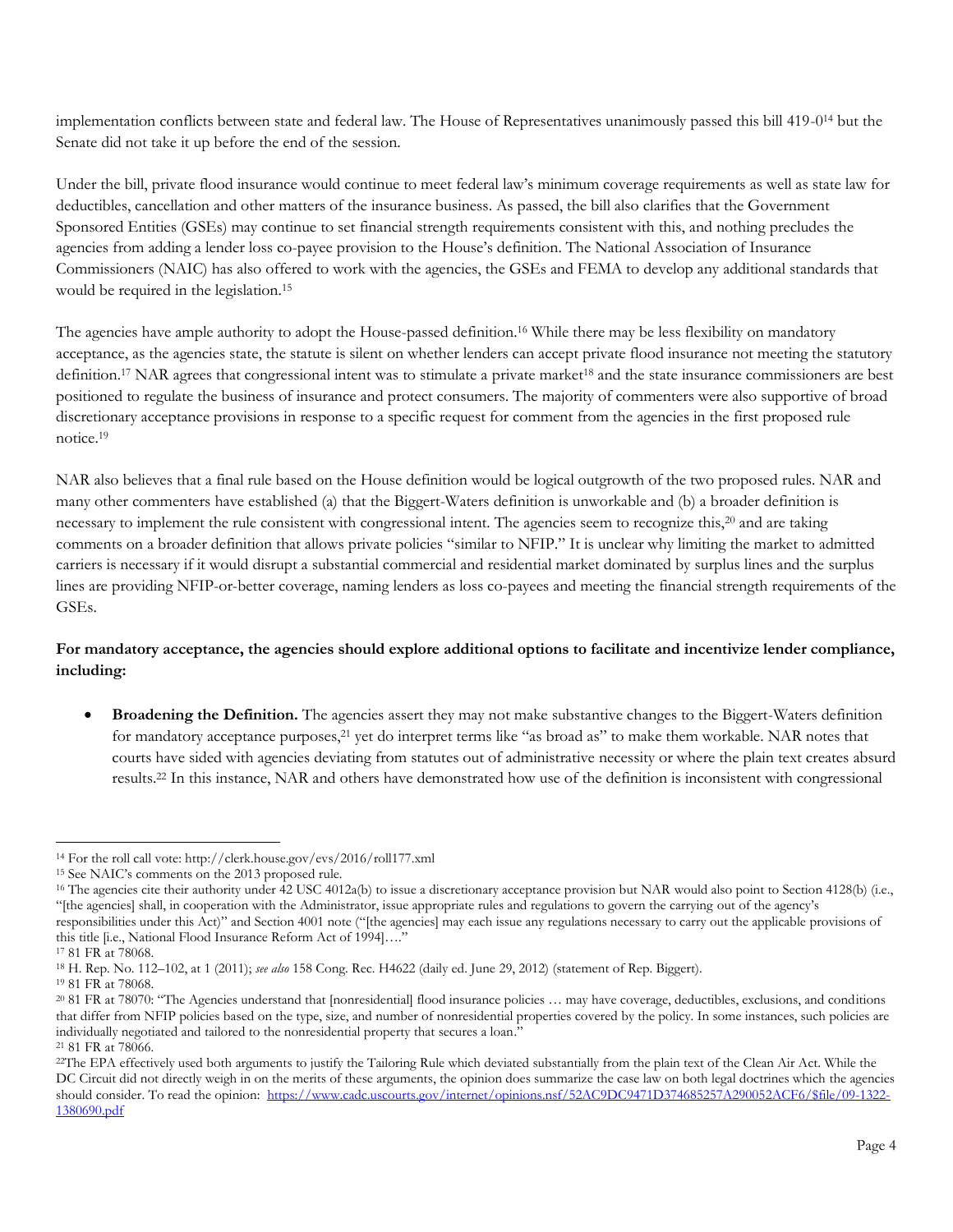implementation conflicts between state and federal law. The House of Representatives unanimously passed this bill 419-0<sup>14</sup> but the Senate did not take it up before the end of the session.

Under the bill, private flood insurance would continue to meet federal law's minimum coverage requirements as well as state law for deductibles, cancellation and other matters of the insurance business. As passed, the bill also clarifies that the Government Sponsored Entities (GSEs) may continue to set financial strength requirements consistent with this, and nothing precludes the agencies from adding a lender loss co-payee provision to the House's definition. The National Association of Insurance Commissioners (NAIC) has also offered to work with the agencies, the GSEs and FEMA to develop any additional standards that would be required in the legislation.<sup>15</sup>

The agencies have ample authority to adopt the House-passed definition.<sup>16</sup> While there may be less flexibility on mandatory acceptance, as the agencies state, the statute is silent on whether lenders can accept private flood insurance not meeting the statutory definition.<sup>17</sup> NAR agrees that congressional intent was to stimulate a private market<sup>18</sup> and the state insurance commissioners are best positioned to regulate the business of insurance and protect consumers. The majority of commenters were also supportive of broad discretionary acceptance provisions in response to a specific request for comment from the agencies in the first proposed rule notice.<sup>19</sup>

NAR also believes that a final rule based on the House definition would be logical outgrowth of the two proposed rules. NAR and many other commenters have established (a) that the Biggert-Waters definition is unworkable and (b) a broader definition is necessary to implement the rule consistent with congressional intent. The agencies seem to recognize this,<sup>20</sup> and are taking comments on a broader definition that allows private policies "similar to NFIP." It is unclear why limiting the market to admitted carriers is necessary if it would disrupt a substantial commercial and residential market dominated by surplus lines and the surplus lines are providing NFIP-or-better coverage, naming lenders as loss co-payees and meeting the financial strength requirements of the GSEs.

# **For mandatory acceptance, the agencies should explore additional options to facilitate and incentivize lender compliance, including:**

 **Broadening the Definition.** The agencies assert they may not make substantive changes to the Biggert-Waters definition for mandatory acceptance purposes,<sup>21</sup> yet do interpret terms like "as broad as" to make them workable. NAR notes that courts have sided with agencies deviating from statutes out of administrative necessity or where the plain text creates absurd results.<sup>22</sup> In this instance, NAR and others have demonstrated how use of the definition is inconsistent with congressional

<sup>16</sup> The agencies cite their authority under 42 USC 4012a(b) to issue a discretionary acceptance provision but NAR would also point to Section 4128(b) (i.e., "[the agencies] shall, in cooperation with the Administrator, issue appropriate rules and regulations to govern the carrying out of the agency's responsibilities under this Act)" and Section 4001 note ("[the agencies] may each issue any regulations necessary to carry out the applicable provisions of this title [i.e., National Flood Insurance Reform Act of 1994]…."

 $\overline{a}$ <sup>14</sup> For the roll call vote: http://clerk.house.gov/evs/2016/roll177.xml

<sup>15</sup> See NAIC's comments on the 2013 proposed rule.

<sup>17</sup> 81 FR at 78068.

<sup>18</sup> H. Rep. No. 112–102, at 1 (2011); *see also* 158 Cong. Rec. H4622 (daily ed. June 29, 2012) (statement of Rep. Biggert).

<sup>19</sup> 81 FR at 78068.

<sup>20</sup> 81 FR at 78070: "The Agencies understand that [nonresidential] flood insurance policies … may have coverage, deductibles, exclusions, and conditions that differ from NFIP policies based on the type, size, and number of nonresidential properties covered by the policy. In some instances, such policies are individually negotiated and tailored to the nonresidential property that secures a loan." <sup>21</sup> 81 FR at 78066.

<sup>22</sup>The EPA effectively used both arguments to justify the Tailoring Rule which deviated substantially from the plain text of the Clean Air Act. While the DC Circuit did not directly weigh in on the merits of these arguments, the opinion does summarize the case law on both legal doctrines which the agencies should consider. To read the opinion: [https://www.cadc.uscourts.gov/internet/opinions.nsf/52AC9DC9471D374685257A290052ACF6/\\$file/09-1322-](https://www.cadc.uscourts.gov/internet/opinions.nsf/52AC9DC9471D374685257A290052ACF6/$file/09-1322-1380690.pdf) [1380690.pdf](https://www.cadc.uscourts.gov/internet/opinions.nsf/52AC9DC9471D374685257A290052ACF6/$file/09-1322-1380690.pdf)